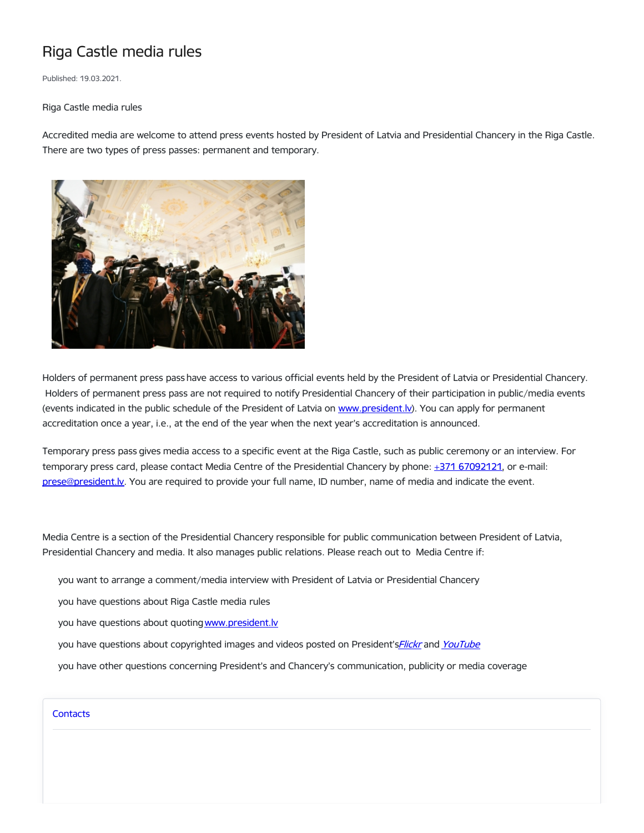## Riga Castle media rules

Published: 19.03.2021.

Riga Castle media rules

Accredited media are welcome to attend press events hosted by President of Latvia and Presidential Chancery in the Riga Castle. There are two types of press passes: permanent and temporary.



Holders of permanent press pass have access to various official events held by the President of Latvia or Presidential Chancery. Holders of permanent press pass are not required to notify Presidential Chancery of their participation in public/media events (events indicated in the public schedule of the President of Latvia on www.president.ly). You can apply for permanent accreditation once a year, i.e., at the end of the year when the next year's accreditation is announced.

Temporary press pass gives media access to a specific event at the Riga Castle, such as public ceremony or an interview. For temporary press card, please contact Media Centre of the Presidential Chancery by phone: +371 [67092121](tel:+371%2067092121), or e-mail: [prese@president.lv.](mailto:prese@president.lv) You are required to provide your full name, ID number, name of media and indicate the event.

Media Centre is a section of the Presidential Chancery responsible for public communication between President of Latvia, Presidential Chancery and media. It also manages public relations. Please reach out to Media Centre if:

- you want to arrange a comment/media interview with President of Latvia or Presidential Chancery
- you have questions about Riga Castle media rules
- you have questions about quoting www.president.ly
- you have questions about copyrighted images and videos posted on President's[Flickr](https://www.flickr.com/photos/valstsprezidents/albums) and [YouTube](https://www.youtube.com/user/presidentlv/videos)
- you have other questions concerning President's and Chancery's communication, publicity or media coverage

## **[Contacts](https://www.president.lv/en/department/contacts)**